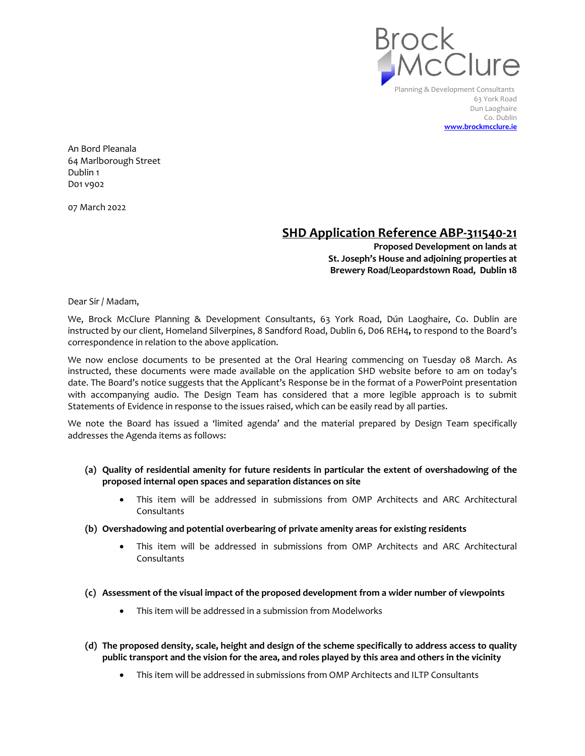

Planning & Development Consultants 63 York Road Dun Laoghaire Co. Dublin **www.brockmcclure.ie**

An Bord Pleanala 64 Marlborough Street Dublin 1 D01 v902

07 March 2022

## **SHD Application Reference ABP-311540-21**

**Proposed Development on lands at St. Joseph's House and adjoining properties at Brewery Road/Leopardstown Road, Dublin 18**

Dear Sir / Madam,

We, Brock McClure Planning & Development Consultants, 63 York Road, Dún Laoghaire, Co. Dublin are instructed by our client, Homeland Silverpines, 8 Sandford Road, Dublin 6, D06 REH4**,** to respond to the Board's correspondence in relation to the above application.

We now enclose documents to be presented at the Oral Hearing commencing on Tuesday 08 March. As instructed, these documents were made available on the application SHD website before 10 am on today's date. The Board's notice suggests that the Applicant's Response be in the format of a PowerPoint presentation with accompanying audio. The Design Team has considered that a more legible approach is to submit Statements of Evidence in response to the issues raised, which can be easily read by all parties.

We note the Board has issued a 'limited agenda' and the material prepared by Design Team specifically addresses the Agenda items as follows:

- **(a) Quality of residential amenity for future residents in particular the extent of overshadowing of the proposed internal open spaces and separation distances on site**
	- This item will be addressed in submissions from OMP Architects and ARC Architectural Consultants
- **(b) Overshadowing and potential overbearing of private amenity areas for existing residents**
	- This item will be addressed in submissions from OMP Architects and ARC Architectural Consultants
- **(c) Assessment of the visual impact of the proposed development from a wider number of viewpoints**
	- This item will be addressed in a submission from Modelworks
- **(d) The proposed density, scale, height and design of the scheme specifically to address access to quality public transport and the vision for the area, and roles played by this area and others in the vicinity**
	- This item will be addressed in submissions from OMP Architects and ILTP Consultants